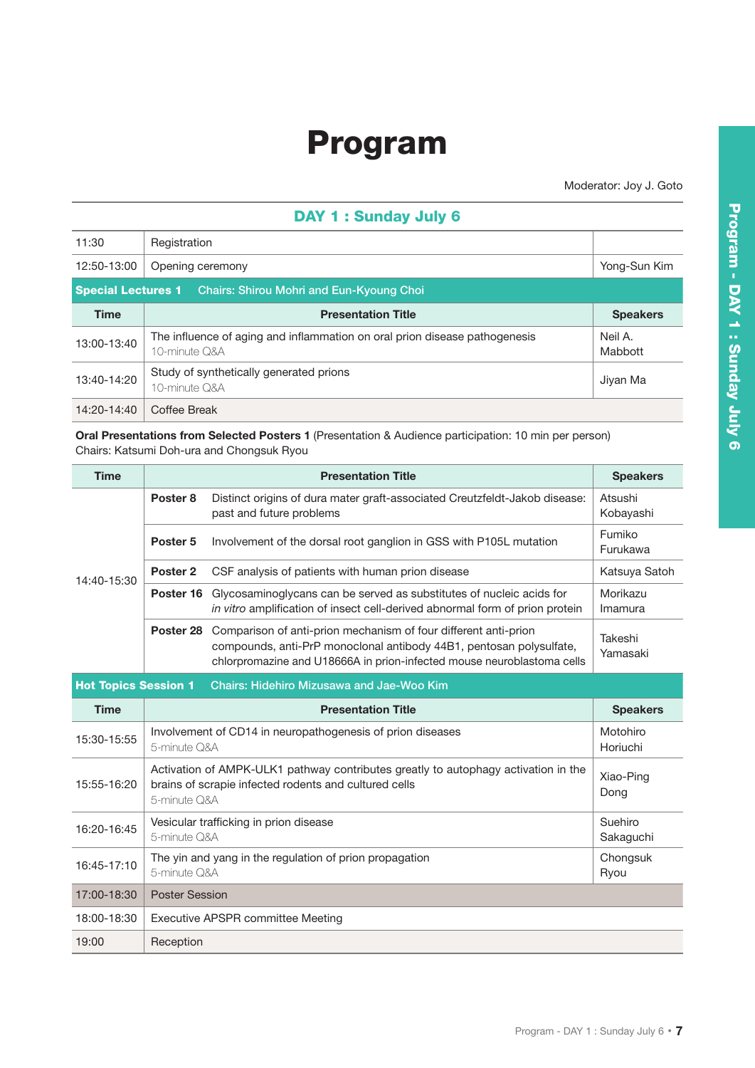## Program

Moderator: Joy J. Goto

## DAY 1 : Sunday July 6

| 11:30                                                              | Registration                                                                                |                    |  |  |  |
|--------------------------------------------------------------------|---------------------------------------------------------------------------------------------|--------------------|--|--|--|
| 12:50-13:00                                                        | Opening ceremony                                                                            | Yong-Sun Kim       |  |  |  |
| <b>Special Lectures 1</b> Chairs: Shirou Mohri and Eun-Kyoung Choi |                                                                                             |                    |  |  |  |
| <b>Time</b>                                                        | <b>Presentation Title</b>                                                                   | <b>Speakers</b>    |  |  |  |
| 13:00-13:40                                                        | The influence of aging and inflammation on oral prion disease pathogenesis<br>10-minute Q&A | Neil A.<br>Mabbott |  |  |  |
| 13:40-14:20                                                        | Study of synthetically generated prions<br>10-minute Q&A                                    | Jiyan Ma           |  |  |  |
| 14:20-14:40                                                        | Coffee Break                                                                                |                    |  |  |  |

**Oral Presentations from Selected Posters 1** (Presentation & Audience participation: 10 min per person) Chairs: Katsumi Doh-ura and Chongsuk Ryou

| <b>Time</b>                                                              |                                                                                                                                                                                  | <b>Presentation Title</b>                                                                                                                                                                                        | <b>Speakers</b>      |  |  |
|--------------------------------------------------------------------------|----------------------------------------------------------------------------------------------------------------------------------------------------------------------------------|------------------------------------------------------------------------------------------------------------------------------------------------------------------------------------------------------------------|----------------------|--|--|
| 14:40-15:30                                                              | Poster <sub>8</sub>                                                                                                                                                              | Distinct origins of dura mater graft-associated Creutzfeldt-Jakob disease:<br>past and future problems                                                                                                           | Atsushi<br>Kobayashi |  |  |
|                                                                          | Poster <sub>5</sub>                                                                                                                                                              | Involvement of the dorsal root ganglion in GSS with P105L mutation                                                                                                                                               | Fumiko<br>Furukawa   |  |  |
|                                                                          | Poster <sub>2</sub>                                                                                                                                                              | CSF analysis of patients with human prion disease                                                                                                                                                                | Katsuya Satoh        |  |  |
|                                                                          | Poster 16                                                                                                                                                                        | Glycosaminoglycans can be served as substitutes of nucleic acids for<br>in vitro amplification of insect cell-derived abnormal form of prion protein                                                             | Morikazu<br>Imamura  |  |  |
|                                                                          | Poster <sub>28</sub>                                                                                                                                                             | Comparison of anti-prion mechanism of four different anti-prion<br>compounds, anti-PrP monoclonal antibody 44B1, pentosan polysulfate,<br>chlorpromazine and U18666A in prion-infected mouse neuroblastoma cells | Takeshi<br>Yamasaki  |  |  |
| <b>Hot Topics Session 1</b><br>Chairs: Hidehiro Mizusawa and Jae-Woo Kim |                                                                                                                                                                                  |                                                                                                                                                                                                                  |                      |  |  |
| <b>Time</b>                                                              |                                                                                                                                                                                  | <b>Presentation Title</b>                                                                                                                                                                                        | <b>Speakers</b>      |  |  |
| 15:30-15:55                                                              | Involvement of CD14 in neuropathogenesis of prion diseases<br>5-minute Q&A                                                                                                       |                                                                                                                                                                                                                  | Motohiro<br>Horiuchi |  |  |
| 15:55-16:20                                                              | Activation of AMPK-ULK1 pathway contributes greatly to autophagy activation in the<br>Xiao-Ping<br>brains of scrapie infected rodents and cultured cells<br>Dong<br>5-minute Q&A |                                                                                                                                                                                                                  |                      |  |  |
| 16:20-16:45                                                              | Vesicular trafficking in prion disease<br>5-minute Q&A                                                                                                                           |                                                                                                                                                                                                                  | Suehiro<br>Sakaguchi |  |  |
| 16:45-17:10                                                              | The yin and yang in the regulation of prion propagation<br>5-minute Q&A                                                                                                          |                                                                                                                                                                                                                  | Chongsuk<br>Ryou     |  |  |
| 17:00-18:30                                                              | <b>Poster Session</b>                                                                                                                                                            |                                                                                                                                                                                                                  |                      |  |  |
| 18:00-18:30                                                              | Executive APSPR committee Meeting                                                                                                                                                |                                                                                                                                                                                                                  |                      |  |  |
| 19:00                                                                    | Reception                                                                                                                                                                        |                                                                                                                                                                                                                  |                      |  |  |